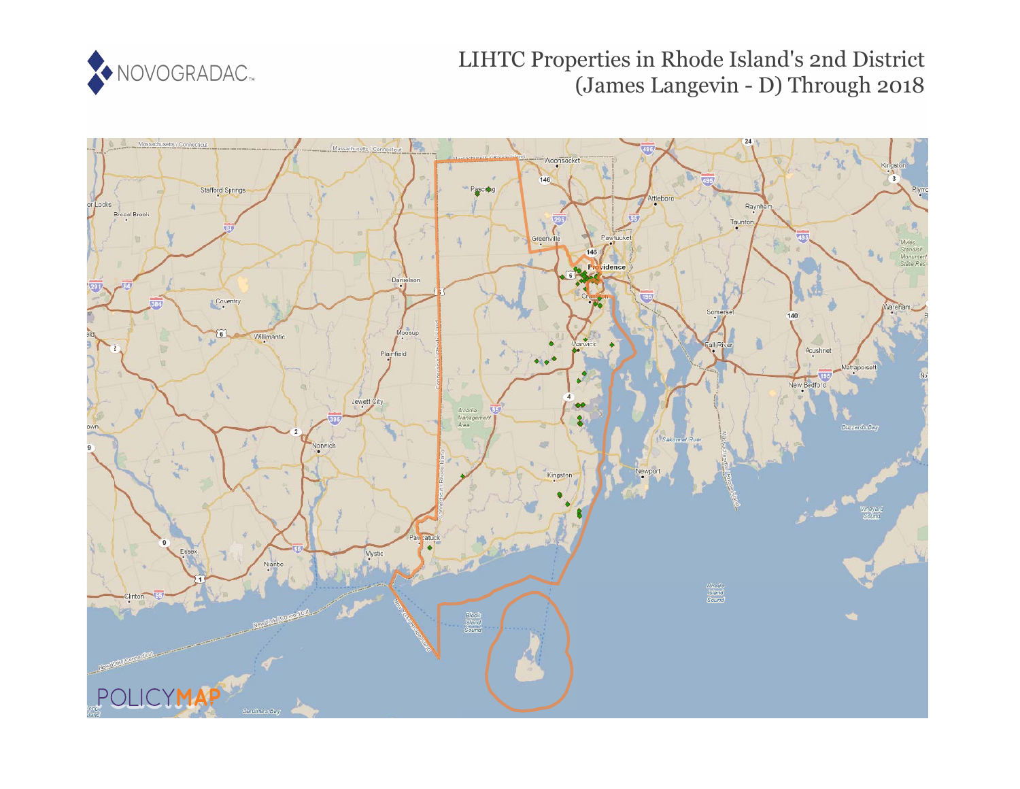

# LIHTC Properties in Rhode Island's 2nd District (James Langevin - D) Through 2018

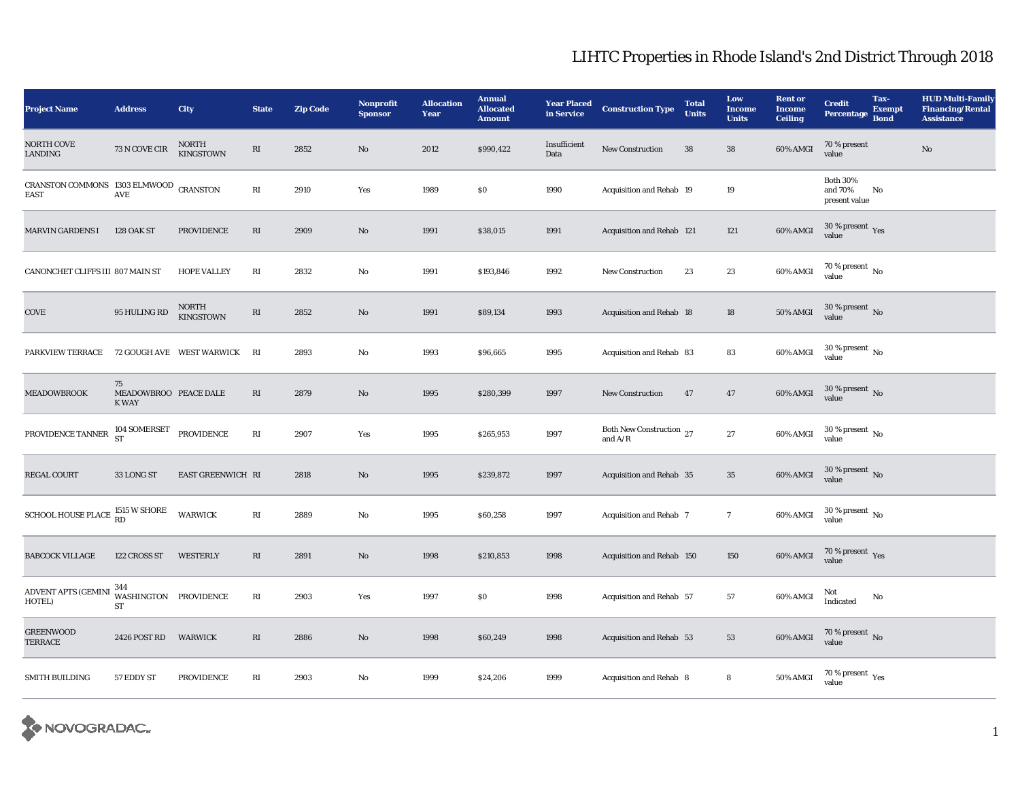| <b>Project Name</b>                                                                        | <b>Address</b>                              | City                             | <b>State</b>           | <b>Zip Code</b> | <b>Nonprofit</b><br><b>Sponsor</b> | <b>Allocation</b><br>Year | <b>Annual</b><br><b>Allocated</b><br><b>Amount</b> | <b>Year Placed</b><br>in Service | <b>Construction Type</b>              | <b>Total</b><br><b>Units</b> | Low<br><b>Income</b><br><b>Units</b> | <b>Rent or</b><br><b>Income</b><br><b>Ceiling</b> | <b>Credit</b><br><b>Percentage</b>          | Tax-<br><b>Exempt</b><br><b>Bond</b> | <b>HUD Multi-Family</b><br><b>Financing/Rental</b><br><b>Assistance</b> |
|--------------------------------------------------------------------------------------------|---------------------------------------------|----------------------------------|------------------------|-----------------|------------------------------------|---------------------------|----------------------------------------------------|----------------------------------|---------------------------------------|------------------------------|--------------------------------------|---------------------------------------------------|---------------------------------------------|--------------------------------------|-------------------------------------------------------------------------|
| NORTH COVE<br>LANDING                                                                      | 73 N COVE CIR                               | <b>NORTH</b><br><b>KINGSTOWN</b> | RI                     | 2852            | $\mathbf{N}\mathbf{o}$             | 2012                      | \$990,422                                          | Insufficient<br>Data             | New Construction                      | 38                           | 38                                   | 60% AMGI                                          | 70 % present<br>value                       |                                      | $\rm No$                                                                |
| CRANSTON COMMONS 1303 ELMWOOD CRANSTON<br><b>EAST</b>                                      | AVE                                         |                                  | RI                     | 2910            | Yes                                | 1989                      | \$0                                                | 1990                             | Acquisition and Rehab 19              |                              | 19                                   |                                                   | <b>Both 30%</b><br>and 70%<br>present value | No                                   |                                                                         |
| <b>MARVIN GARDENS I</b>                                                                    | <b>128 OAK ST</b>                           | PROVIDENCE                       | $\mathbf{R}\mathbf{I}$ | 2909            | $\mathbf{N}\mathbf{o}$             | 1991                      | \$38,015                                           | 1991                             | Acquisition and Rehab 121             |                              | 121                                  | $60\%$ AMGI                                       | $30\,\%$ present $\,$ Yes value             |                                      |                                                                         |
| CANONCHET CLIFFS III 807 MAIN ST                                                           |                                             | <b>HOPE VALLEY</b>               | $\mathbf{R}\mathbf{I}$ | 2832            | $\rm No$                           | 1991                      | \$193,846                                          | 1992                             | <b>New Construction</b>               | 23                           | 23                                   | 60% AMGI                                          | $70\,\%$ present $\,$ No value              |                                      |                                                                         |
| COVE                                                                                       | 95 HULING RD                                | NORTH<br><b>KINGSTOWN</b>        | $\mathbf{R}\mathbf{I}$ | 2852            | $\mathbf{N}\mathbf{o}$             | 1991                      | \$89,134                                           | 1993                             | Acquisition and Rehab 18              |                              | 18                                   | <b>50% AMGI</b>                                   | $30$ % present $\,$ No value                |                                      |                                                                         |
| <b>PARKVIEW TERRACE</b>                                                                    |                                             | 72 GOUGH AVE WEST WARWICK        | RI                     | 2893            | No                                 | 1993                      | \$96,665                                           | 1995                             | Acquisition and Rehab 83              |                              | 83                                   | 60% AMGI                                          | $30$ % present $\,$ No value                |                                      |                                                                         |
| <b>MEADOWBROOK</b>                                                                         | 75<br>MEADOWBROO PEACE DALE<br><b>K WAY</b> |                                  | RI                     | 2879            | $\rm No$                           | 1995                      | \$280,399                                          | 1997                             | <b>New Construction</b>               | 47                           | 47                                   | $60\%$ AMGI                                       | $30$ % present $\,$ No $\,$<br>value        |                                      |                                                                         |
| PROVIDENCE TANNER                                                                          | $104$ SOMERSET $\operatorname{ST}$          | PROVIDENCE                       | $\mathbf{R}\mathbf{I}$ | 2907            | Yes                                | 1995                      | \$265,953                                          | 1997                             | Both New Construction 27<br>and $A/R$ |                              | 27                                   | 60% AMGI                                          | $30$ % present $\,$ No $\,$<br>value        |                                      |                                                                         |
| REGAL COURT                                                                                | 33 LONG ST                                  | EAST GREENWICH RI                |                        | 2818            | $\mathbf{N}\mathbf{o}$             | 1995                      | \$239,872                                          | 1997                             | Acquisition and Rehab 35              |                              | 35                                   | 60% AMGI                                          | $30\,\%$ present $\,$ No value              |                                      |                                                                         |
| SCHOOL HOUSE PLACE $\begin{array}{c} 1515 \text{ W }\text{SHORE} \\ \text{RD} \end{array}$ |                                             | <b>WARWICK</b>                   | $\mathbf{R}\mathbf{I}$ | 2889            | $\rm No$                           | 1995                      | \$60,258                                           | 1997                             | Acquisition and Rehab 7               |                              | $\overline{7}$                       | 60% AMGI                                          | $30$ % present $\,$ No $\,$<br>value        |                                      |                                                                         |
| <b>BABCOCK VILLAGE</b>                                                                     | 122 CROSS ST                                | <b>WESTERLY</b>                  | RI                     | 2891            | No                                 | 1998                      | \$210,853                                          | 1998                             | Acquisition and Rehab 150             |                              | 150                                  | 60% AMGI                                          | $70\,\%$ present $\,$ Yes value             |                                      |                                                                         |
| <b>ADVENT APTS (GEMINI</b><br>HOTEL)                                                       | 344<br>WASHINGTON PROVIDENCE<br>ST          |                                  | $\mathbf{R}\mathbf{I}$ | 2903            | Yes                                | 1997                      | ${\bf S0}$                                         | 1998                             | Acquisition and Rehab 57              |                              | 57                                   | 60% AMGI                                          | Not<br>Indicated                            | No                                   |                                                                         |
| <b>GREENWOOD</b><br><b>TERRACE</b>                                                         | 2426 POST RD                                | <b>WARWICK</b>                   | RI                     | 2886            | $\mathbf{No}$                      | 1998                      | \$60,249                                           | 1998                             | Acquisition and Rehab 53              |                              | 53                                   | $60\%$ AMGI                                       | $70\,\%$ present $\,$ No value              |                                      |                                                                         |
| <b>SMITH BUILDING</b>                                                                      | 57 EDDY ST                                  | <b>PROVIDENCE</b>                | RI                     | 2903            | No                                 | 1999                      | \$24,206                                           | 1999                             | Acquisition and Rehab 8               |                              | 8                                    | 50% AMGI                                          | $70\,\%$ present $\,\mathrm{Yes}$ value     |                                      |                                                                         |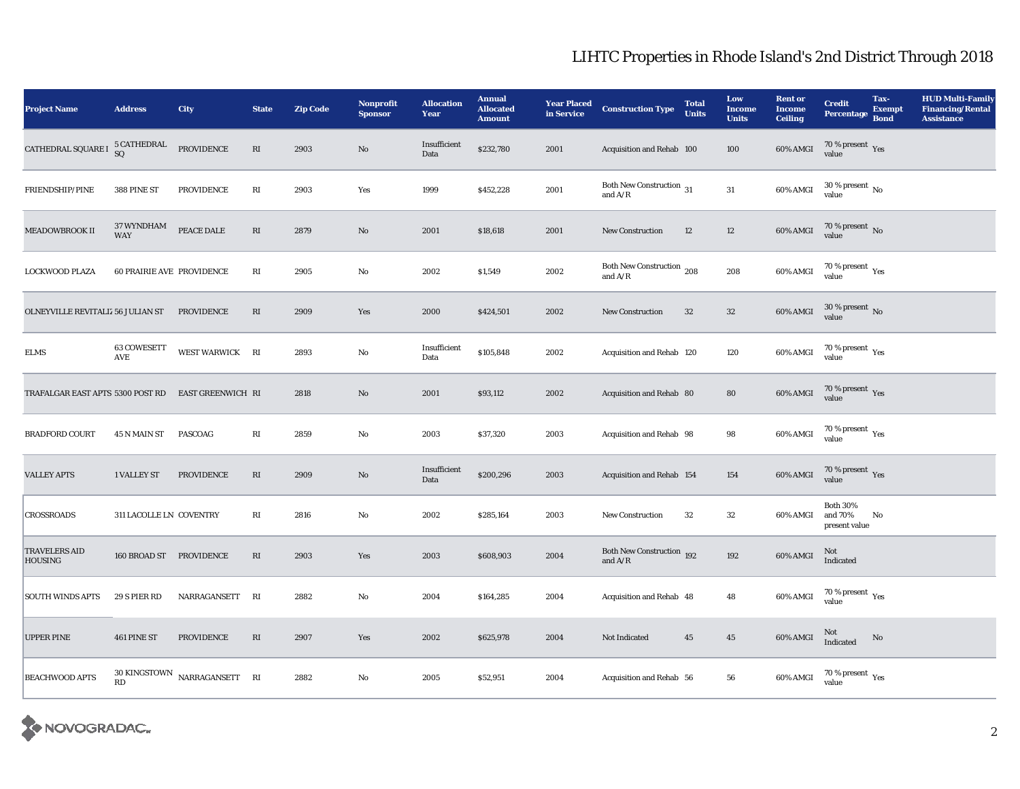| <b>Project Name</b>                                | <b>Address</b>                               | City                                                 | <b>State</b>           | <b>Zip Code</b> | Nonprofit<br><b>Sponsor</b> | <b>Allocation</b><br>Year | <b>Annual</b><br><b>Allocated</b><br><b>Amount</b> | <b>Year Placed<br/>in Service</b> | <b>Construction Type</b>               | <b>Total</b><br><b>Units</b> | Low<br><b>Income</b><br><b>Units</b> | <b>Rent or</b><br><b>Income</b><br><b>Ceiling</b> | <b>Credit</b><br><b>Percentage</b>                   | Tax-<br><b>Exempt</b><br><b>Bond</b> | <b>HUD Multi-Family</b><br><b>Financing/Rental</b><br><b>Assistance</b> |
|----------------------------------------------------|----------------------------------------------|------------------------------------------------------|------------------------|-----------------|-----------------------------|---------------------------|----------------------------------------------------|-----------------------------------|----------------------------------------|------------------------------|--------------------------------------|---------------------------------------------------|------------------------------------------------------|--------------------------------------|-------------------------------------------------------------------------|
| CATHEDRAL SQUARE I                                 | 5 CATHEDRAL<br>SQ                            | ${\tt PROVIDENCE}$                                   | $\mathbf{R}\mathbf{I}$ | 2903            | $\rm No$                    | Insufficient<br>Data      | \$232,780                                          | 2001                              | Acquisition and Rehab 100              |                              | 100                                  | $60\%$ AMGI                                       | $70\,\%$ present $\,$ Yes value                      |                                      |                                                                         |
| FRIENDSHIP/PINE                                    | 388 PINE ST                                  | PROVIDENCE                                           | $\mathbf{R}\mathbf{I}$ | 2903            | Yes                         | 1999                      | \$452,228                                          | 2001                              | Both New Construction 31<br>and $A/R$  |                              | $31\,$                               | 60% AMGI                                          | $30\,\%$ present $\,$ No value                       |                                      |                                                                         |
| MEADOWBROOK II                                     | 37 WYNDHAM<br>WAY                            | PEACE DALE                                           | $\mathbf{R}\mathbf{I}$ | 2879            | $\mathbf{N}\mathbf{o}$      | 2001                      | \$18,618                                           | 2001                              | <b>New Construction</b>                | 12                           | $12\,$                               | 60% AMGI                                          | $70\,\%$ present $\,$ No value                       |                                      |                                                                         |
| LOCKWOOD PLAZA                                     | <b>60 PRAIRIE AVE PROVIDENCE</b>             |                                                      | RI                     | 2905            | $\rm No$                    | 2002                      | \$1,549                                            | 2002                              | Both New Construction 208<br>and $A/R$ |                              | 208                                  | 60% AMGI                                          | $70\,\%$ present $\,$ Yes value                      |                                      |                                                                         |
| OLNEYVILLE REVITALIZ 56 JULIAN ST PROVIDENCE       |                                              |                                                      | RI                     | 2909            | Yes                         | 2000                      | \$424,501                                          | 2002                              | New Construction                       | 32                           | $32\,$                               | 60% AMGI                                          | $30\,\%$ present $\,$ No value                       |                                      |                                                                         |
| ELMS                                               | 63 COWESETT<br>$\operatorname{\mathsf{AVE}}$ | WEST WARWICK RI                                      |                        | 2893            | No                          | Insufficient<br>Data      | \$105,848                                          | 2002                              | Acquisition and Rehab 120              |                              | 120                                  | 60% AMGI                                          | $70\,\%$ present $\,\mathrm{Yes}$ value              |                                      |                                                                         |
| TRAFALGAR EAST APTS 5300 POST RD EAST GREENWICH RI |                                              |                                                      |                        | 2818            | No                          | 2001                      | \$93,112                                           | 2002                              | Acquisition and Rehab 80               |                              | 80                                   | 60% AMGI                                          | $70\,\%$ present $\,\mathrm{Yes}$ value              |                                      |                                                                         |
| <b>BRADFORD COURT</b>                              | 45 N MAIN ST                                 | PASCOAG                                              | RI                     | 2859            | No                          | 2003                      | \$37,320                                           | 2003                              | Acquisition and Rehab 98               |                              | $\bf{98}$                            | 60% AMGI                                          | $70\,\%$ present $\,\mathrm{Yes}$ value              |                                      |                                                                         |
| <b>VALLEY APTS</b>                                 | 1 VALLEY ST                                  | PROVIDENCE                                           | $\mathbf{R}\mathbf{I}$ | 2909            | $\mathbf{N}\mathbf{o}$      | Insufficient<br>Data      | \$200,296                                          | 2003                              | Acquisition and Rehab 154              |                              | 154                                  | 60% AMGI                                          | $70\,\%$ present $\,$ Yes value                      |                                      |                                                                         |
| CROSSROADS                                         | 311 LACOLLE LN COVENTRY                      |                                                      | RI                     | 2816            | No                          | 2002                      | \$285,164                                          | 2003                              | <b>New Construction</b>                | $32\,$                       | $32\,$                               | 60% AMGI                                          | <b>Both 30%</b><br>and 70%<br>present value          | No                                   |                                                                         |
| <b>TRAVELERS AID</b><br>HOUSING                    | 160 BROAD ST PROVIDENCE                      |                                                      | $\mathbf{R}\mathbf{I}$ | 2903            | Yes                         | 2003                      | \$608,903                                          | 2004                              | Both New Construction 192<br>and $A/R$ |                              | 192                                  | $60\%$ AMGI                                       | Not<br>Indicated                                     |                                      |                                                                         |
| SOUTH WINDS APTS                                   | 29 S PIER RD                                 | NARRAGANSETT                                         | RI                     | 2882            | $\mathbf{N}\mathbf{o}$      | 2004                      | \$164,285                                          | 2004                              | Acquisition and Rehab 48               |                              | 48                                   | 60% AMGI                                          | 70 % present $\rm\thinspace\gamma_{\rm es}$<br>value |                                      |                                                                         |
| <b>UPPER PINE</b>                                  | 461 PINE ST                                  | <b>PROVIDENCE</b>                                    | RI                     | 2907            | Yes                         | 2002                      | \$625,978                                          | 2004                              | Not Indicated                          | 45                           | $\bf 45$                             | 60% AMGI                                          | Not<br>Indicated                                     | No                                   |                                                                         |
| <b>BEACHWOOD APTS</b>                              | <b>RD</b>                                    | $30\,$ KINGSTOWN $\,$ NARRAGANSETT $\,$ $\,$ RI $\,$ |                        | 2882            | $\rm No$                    | 2005                      | \$52,951                                           | 2004                              | Acquisition and Rehab 56               |                              | ${\bf 56}$                           | 60% AMGI                                          | $70\,\%$ present $\,$ Yes value                      |                                      |                                                                         |

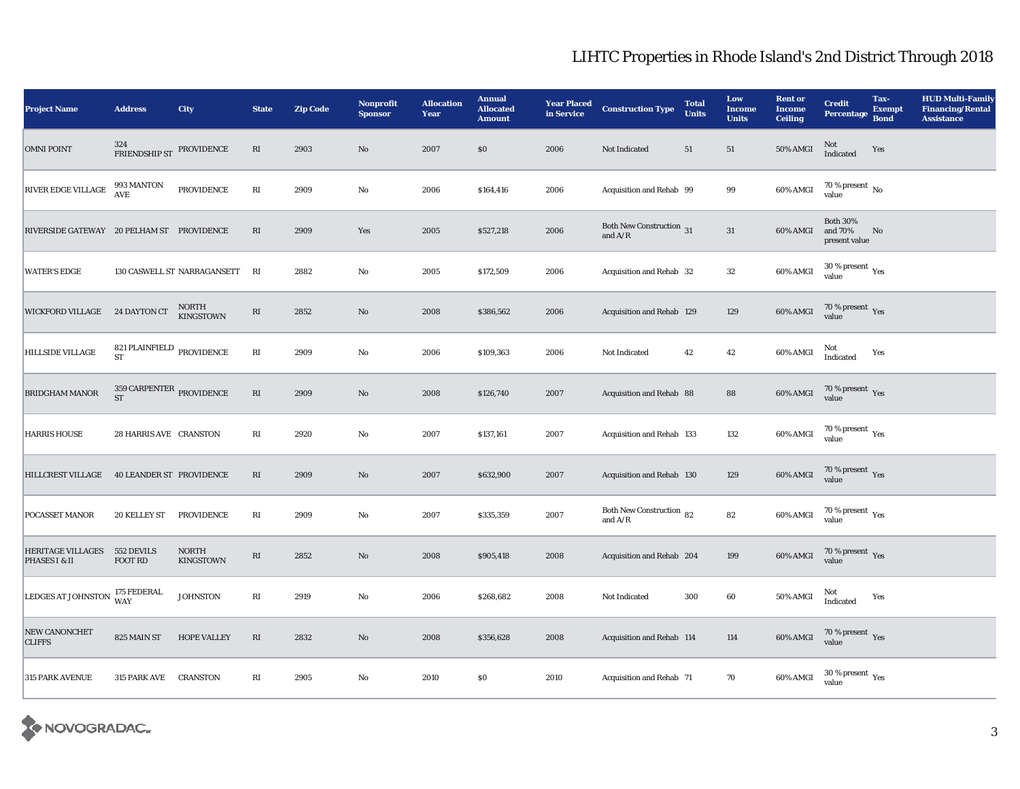| <b>Project Name</b>                       | <b>Address</b>                                             | City                           | <b>State</b>           | <b>Zip Code</b> | <b>Nonprofit</b><br><b>Sponsor</b> | <b>Allocation</b><br><b>Year</b> | <b>Annual</b><br><b>Allocated</b><br><b>Amount</b> | <b>Year Placed</b><br>in Service | <b>Construction Type</b>                  | <b>Total</b><br><b>Units</b> | Low<br><b>Income</b><br><b>Units</b> | <b>Rent or</b><br><b>Income</b><br><b>Ceiling</b> | <b>Credit</b><br><b>Percentage</b>          | Tax-<br><b>Exempt</b><br><b>Bond</b> | <b>HUD Multi-Family</b><br><b>Financing/Rental</b><br><b>Assistance</b> |
|-------------------------------------------|------------------------------------------------------------|--------------------------------|------------------------|-----------------|------------------------------------|----------------------------------|----------------------------------------------------|----------------------------------|-------------------------------------------|------------------------------|--------------------------------------|---------------------------------------------------|---------------------------------------------|--------------------------------------|-------------------------------------------------------------------------|
| <b>OMNI POINT</b>                         | 324<br>FRIENDSHIP ST                                       | PROVIDENCE                     | RI                     | 2903            | $\rm\thinspace No$                 | 2007                             | \$0                                                | 2006                             | Not Indicated                             | $51\,$                       | 51                                   | $50\%$ AMGI                                       | Not<br>Indicated                            | Yes                                  |                                                                         |
| <b>RIVER EDGE VILLAGE</b>                 | 993 MANTON<br>AVE                                          | PROVIDENCE                     | RI                     | 2909            | $\mathbf {No}$                     | 2006                             | \$164,416                                          | 2006                             | Acquisition and Rehab 99                  |                              | 99                                   | 60% AMGI                                          | 70 % present $\,$ No $\,$<br>value          |                                      |                                                                         |
| RIVERSIDE GATEWAY 20 PELHAM ST PROVIDENCE |                                                            |                                | $\mathbf{R}\mathbf{I}$ | 2909            | Yes                                | 2005                             | \$527,218                                          | 2006                             | Both New Construction 31<br>and $\rm A/R$ |                              | 31                                   | 60% AMGI                                          | <b>Both 30%</b><br>and 70%<br>present value | No                                   |                                                                         |
| <b>WATER'S EDGE</b>                       |                                                            | 130 CASWELL ST NARRAGANSETT RI |                        | 2882            | $\mathbf{N}\mathbf{o}$             | 2005                             | \$172,509                                          | 2006                             | Acquisition and Rehab 32                  |                              | $32\,$                               | 60% AMGI                                          | $30$ % present $\,$ $\rm Yes$<br>value      |                                      |                                                                         |
| WICKFORD VILLAGE 24 DAYTON CT             |                                                            | NORTH<br><b>KINGSTOWN</b>      | $\mathbf{R}\mathbf{I}$ | 2852            | $\rm\thinspace No$                 | 2008                             | \$386,562                                          | 2006                             | Acquisition and Rehab 129                 |                              | 129                                  | 60% AMGI                                          | $70\,\%$ present $\,\mathrm{Yes}$ value     |                                      |                                                                         |
| <b>HILLSIDE VILLAGE</b>                   | 821 PLAINFIELD $_{\rm PROVIDENCE}$<br>ST                   |                                | $\mathbf{R}\mathbf{I}$ | 2909            | $\rm\thinspace No$                 | 2006                             | \$109,363                                          | 2006                             | Not Indicated                             | 42                           | 42                                   | 60% AMGI                                          | Not<br>Indicated                            | Yes                                  |                                                                         |
| <b>BRIDGHAM MANOR</b>                     | $359$ CARPENTER $_{\rm PROVIDENCE}$<br>$\operatorname{ST}$ |                                | $\mathbf{R}\mathbf{I}$ | 2909            | $\mathbf{N}\mathbf{o}$             | 2008                             | \$126,740                                          | 2007                             | Acquisition and Rehab 88                  |                              | 88                                   | 60% AMGI                                          | $70\,\%$ present $\,$ Yes value             |                                      |                                                                         |
| <b>HARRIS HOUSE</b>                       | 28 HARRIS AVE CRANSTON                                     |                                | RI                     | 2920            | No                                 | 2007                             | \$137,161                                          | 2007                             | Acquisition and Rehab 133                 |                              | 132                                  | 60% AMGI                                          | 70 % present $\rm\thinspace_{Yes}$<br>value |                                      |                                                                         |
| <b>HILLCREST VILLAGE</b>                  | <b>40 LEANDER ST PROVIDENCE</b>                            |                                | $\mathbf{R}\mathbf{I}$ | 2909            | $\mathbf{N}\mathbf{o}$             | 2007                             | \$632,900                                          | 2007                             | Acquisition and Rehab 130                 |                              | 129                                  | 60% AMGI                                          | $70\,\%$ present $\,$ Yes value             |                                      |                                                                         |
| POCASSET MANOR                            | 20 KELLEY ST                                               | <b>PROVIDENCE</b>              | RI                     | 2909            | No                                 | 2007                             | \$335,359                                          | 2007                             | Both New Construction 82<br>and $A/R$     |                              | 82                                   | $60\%$ AMGI                                       | 70 % present $\rm\thinspace_{Yes}$<br>value |                                      |                                                                         |
| <b>HERITAGE VILLAGES</b><br>PHASES I & II | 552 DEVILS<br>FOOT RD                                      | <b>NORTH</b><br>KINGSTOWN      | $\mathbf{R}\mathbf{I}$ | 2852            | $\rm No$                           | 2008                             | \$905,418                                          | 2008                             | Acquisition and Rehab 204                 |                              | 199                                  | 60% AMGI                                          | $70\,\%$ present $\,\mathrm{Yes}$ value     |                                      |                                                                         |
| LEDGES AT JOHNSTON                        | 175 FEDERAL<br><b>WAY</b>                                  | <b>JOHNSTON</b>                | $\mathbf{R}\mathbf{I}$ | 2919            | No                                 | 2006                             | \$268,682                                          | 2008                             | Not Indicated                             | 300                          | 60                                   | <b>50% AMGI</b>                                   | Not<br>Indicated                            | Yes                                  |                                                                         |
| NEW CANONCHET<br><b>CLIFFS</b>            | 825 MAIN ST                                                | <b>HOPE VALLEY</b>             | RI                     | 2832            | $\mathbf{N}\mathbf{o}$             | 2008                             | \$356,628                                          | 2008                             | Acquisition and Rehab 114                 |                              | 114                                  | 60% AMGI                                          | $70\,\%$ present $\,$ Yes value             |                                      |                                                                         |
| 315 PARK AVENUE                           | 315 PARK AVE                                               | <b>CRANSTON</b>                | $\mathbf{R}\mathbf{I}$ | 2905            | No                                 | 2010                             | \$0                                                | 2010                             | Acquisition and Rehab 71                  |                              | 70                                   | 60% AMGI                                          | $30$ % present $\,$ $\rm Yes$<br>value      |                                      |                                                                         |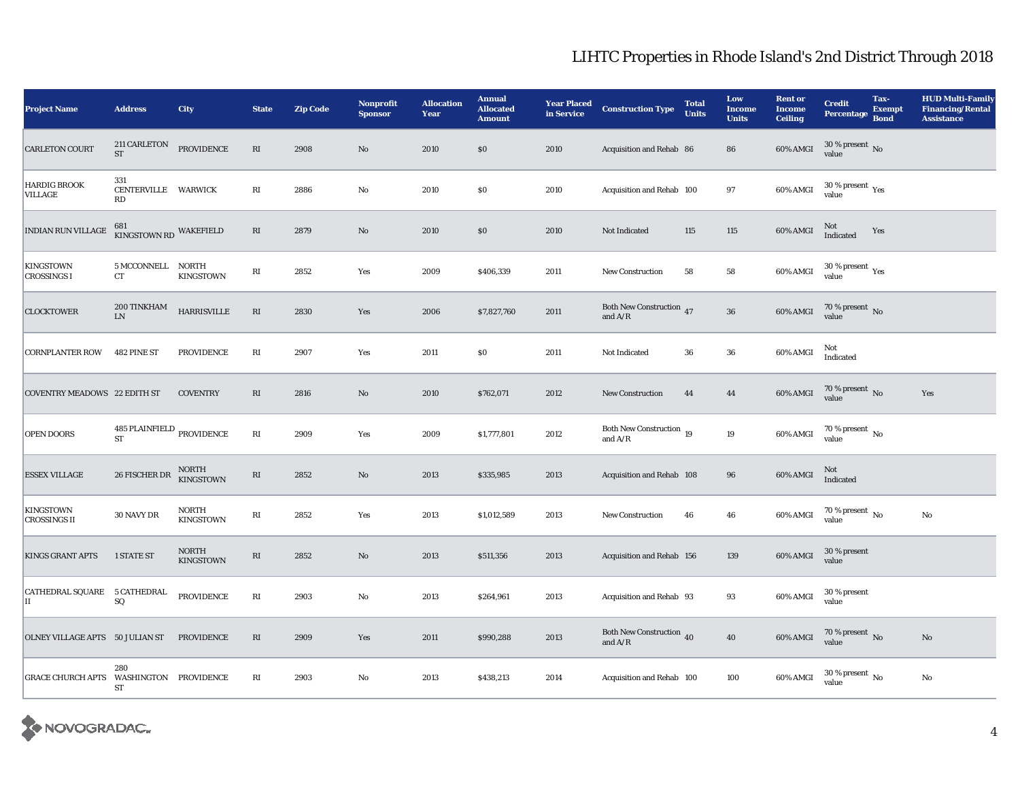| <b>Project Name</b>                     | <b>Address</b>                         | City                      | <b>State</b>           | <b>Zip Code</b> | <b>Nonprofit</b><br><b>Sponsor</b> | <b>Allocation</b><br>Year | <b>Annual</b><br><b>Allocated</b><br><b>Amount</b> | <b>Year Placed</b><br>in Service | <b>Construction Type</b>                         | <b>Total</b><br><b>Units</b> | Low<br><b>Income</b><br><b>Units</b> | <b>Rent or</b><br><b>Income</b><br><b>Ceiling</b> | <b>Credit</b><br><b>Percentage</b>     | Tax-<br><b>Exempt</b><br><b>Bond</b> | <b>HUD Multi-Family</b><br><b>Financing/Rental</b><br><b>Assistance</b> |
|-----------------------------------------|----------------------------------------|---------------------------|------------------------|-----------------|------------------------------------|---------------------------|----------------------------------------------------|----------------------------------|--------------------------------------------------|------------------------------|--------------------------------------|---------------------------------------------------|----------------------------------------|--------------------------------------|-------------------------------------------------------------------------|
| <b>CARLETON COURT</b>                   | 211 CARLETON<br><b>ST</b>              | PROVIDENCE                | $\mathbf{R}\mathbf{I}$ | 2908            | $\rm No$                           | 2010                      | \$0                                                | 2010                             | Acquisition and Rehab 86                         |                              | 86                                   | $60\%$ AMGI                                       | $30\,\%$ present $\,$ No value         |                                      |                                                                         |
| <b>HARDIG BROOK</b><br>VILLAGE          | 331<br>CENTERVILLE WARWICK<br>RD       |                           | RI                     | 2886            | $\rm\thinspace No$                 | 2010                      | \$0                                                | 2010                             | Acquisition and Rehab 100                        |                              | 97                                   | 60% AMGI                                          | $30$ % present $\,$ $\rm Yes$<br>value |                                      |                                                                         |
| <b>INDIAN RUN VILLAGE</b>               | 681 KINGSTOWN RD WAKEFIELD             |                           | RI                     | 2879            | $\rm No$                           | 2010                      | \$0                                                | 2010                             | Not Indicated                                    | 115                          | 115                                  | 60% AMGI                                          | Not<br>Indicated                       | Yes                                  |                                                                         |
| <b>KINGSTOWN</b><br><b>CROSSINGS I</b>  | 5 MCCONNELL NORTH<br>CT                | <b>KINGSTOWN</b>          | RI                     | 2852            | Yes                                | 2009                      | \$406,339                                          | 2011                             | New Construction                                 | 58                           | ${\bf 58}$                           | 60% AMGI                                          | $30$ % present $\,$ $\rm Yes$<br>value |                                      |                                                                         |
| <b>CLOCKTOWER</b>                       | $200\,{\rm TINKHAM}$<br>${\rm LN}$     | <b>HARRISVILLE</b>        | $\mathbf{R}\mathbf{I}$ | 2830            | Yes                                | 2006                      | \$7,827,760                                        | 2011                             | <b>Both New Construction</b> 47<br>and $\rm A/R$ |                              | ${\bf 36}$                           | 60% AMGI                                          | $70\,\%$ present $\,$ No value         |                                      |                                                                         |
| <b>CORNPLANTER ROW</b>                  | 482 PINE ST                            | PROVIDENCE                | $\mathbb{R}\mathbf{I}$ | 2907            | Yes                                | 2011                      | \$0                                                | 2011                             | Not Indicated                                    | 36                           | 36                                   | 60% AMGI                                          | Not<br>Indicated                       |                                      |                                                                         |
| <b>COVENTRY MEADOWS 22 EDITH ST</b>     |                                        | <b>COVENTRY</b>           | $\mathbf{R}\mathbf{I}$ | 2816            | $\mathbf{N}\mathbf{o}$             | 2010                      | \$762,071                                          | 2012                             | New Construction                                 | 44                           | 44                                   | 60% AMGI                                          | $70\,\%$ present $\,$ No value         |                                      | Yes                                                                     |
| <b>OPEN DOORS</b>                       | 485 PLAINFIELD PROVIDENCE<br><b>ST</b> |                           | $\mathbf{R}\mathbf{I}$ | 2909            | Yes                                | 2009                      | \$1,777,801                                        | 2012                             | Both New Construction 19<br>and $A/R$            |                              | 19                                   | 60% AMGI                                          | 70 % present $\,$ No $\,$<br>value     |                                      |                                                                         |
| <b>ESSEX VILLAGE</b>                    | 26 FISCHER DR                          | NORTH<br>KINGSTOWN        | $\mathbf{R}\mathbf{I}$ | 2852            | $\rm\thinspace No$                 | 2013                      | \$335,985                                          | 2013                             | Acquisition and Rehab 108                        |                              | 96                                   | 60% AMGI                                          | Not<br>Indicated                       |                                      |                                                                         |
| <b>KINGSTOWN</b><br><b>CROSSINGS II</b> | $30\,\mathrm{NAVY}\,\mathrm{DR}$       | NORTH<br><b>KINGSTOWN</b> | $\mathbf{R}\mathbf{I}$ | 2852            | Yes                                | 2013                      | \$1,012,589                                        | 2013                             | <b>New Construction</b>                          | 46                           | 46                                   | 60% AMGI                                          | 70 % present $\,$ No $\,$<br>value     |                                      | No                                                                      |
| <b>KINGS GRANT APTS</b>                 | 1 STATE ST                             | <b>NORTH</b><br>KINGSTOWN | $\mathbf{R}\mathbf{I}$ | 2852            | $\rm No$                           | 2013                      | \$511,356                                          | 2013                             | Acquisition and Rehab 156                        |                              | 139                                  | 60% AMGI                                          | 30 % present<br>value                  |                                      |                                                                         |
| CATHEDRAL SQUARE 5 CATHEDRAL<br>IІ      | SQ                                     | <b>PROVIDENCE</b>         | $\mathbf{R}\mathbf{I}$ | 2903            | $\rm\thinspace No$                 | 2013                      | \$264,961                                          | 2013                             | Acquisition and Rehab 93                         |                              | 93                                   | 60% AMGI                                          | 30 % present<br>value                  |                                      |                                                                         |
| OLNEY VILLAGE APTS 50 JULIAN ST         |                                        | <b>PROVIDENCE</b>         | $\mathbf{R}\mathbf{I}$ | 2909            | Yes                                | 2011                      | \$990,288                                          | 2013                             | Both New Construction 40<br>and $A/R$            |                              | 40                                   | 60% AMGI                                          | $70$ % present $\,$ No value           |                                      | No                                                                      |
| <b>GRACE CHURCH APTS</b>                | 280<br>WASHINGTON PROVIDENCE<br>ST     |                           | $\mathbf{R}\mathbf{I}$ | 2903            | $\rm\thinspace No$                 | 2013                      | \$438,213                                          | 2014                             | Acquisition and Rehab 100                        |                              | 100                                  | 60% AMGI                                          | 30 % present $\,$ No $\,$<br>value     |                                      | $\mathbf {No}$                                                          |